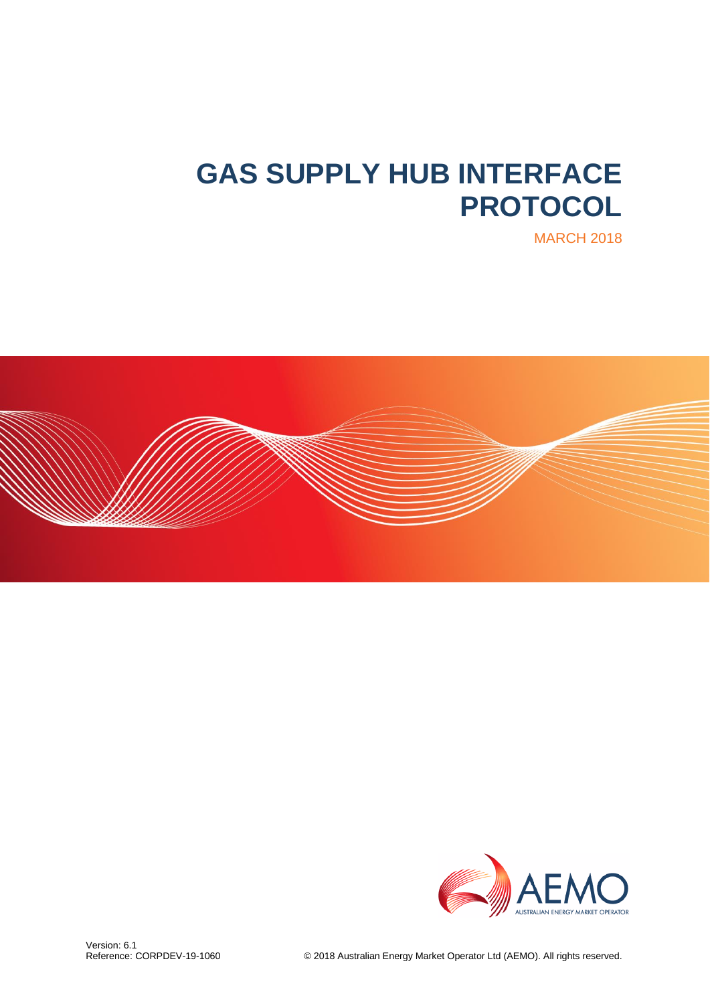# **GAS SUPPLY HUB INTERFACE PROTOCOL**





MARCH 2018

© 2018 Australian Energy Market Operator Ltd (AEMO). All rights reserved.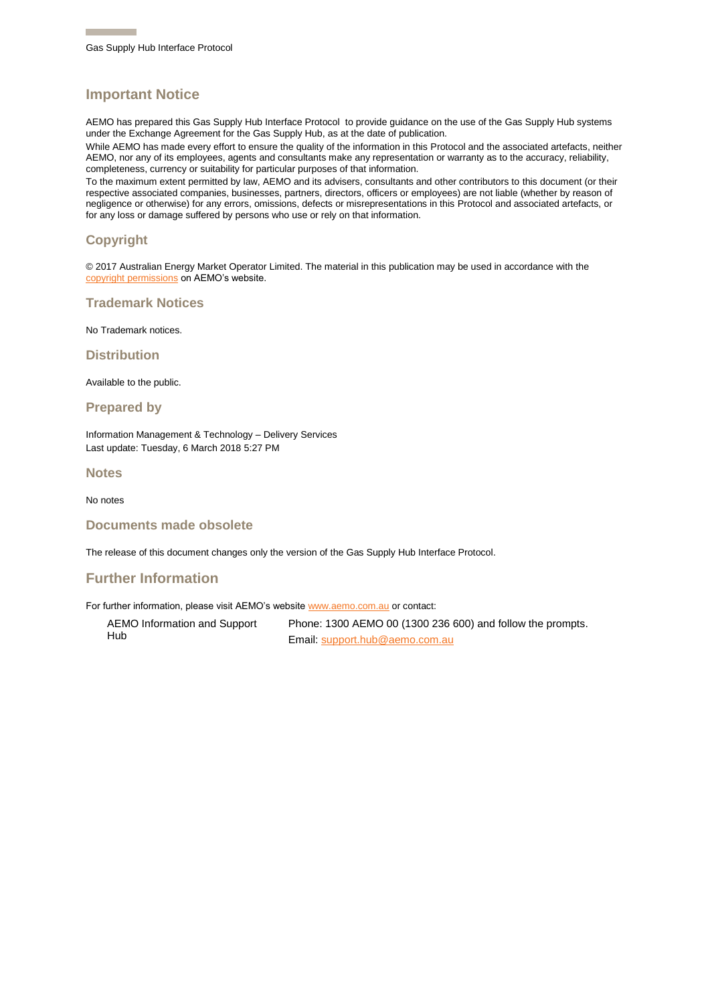#### **Important Notice**

AEMO has prepared this Gas Supply Hub Interface Protocol to provide guidance on the use of the Gas Supply Hub systems under the Exchange Agreement for the Gas Supply Hub, as at the date of publication.

While AEMO has made every effort to ensure the quality of the information in this Protocol and the associated artefacts, neither AEMO, nor any of its employees, agents and consultants make any representation or warranty as to the accuracy, reliability, completeness, currency or suitability for particular purposes of that information.

To the maximum extent permitted by law, AEMO and its advisers, consultants and other contributors to this document (or their respective associated companies, businesses, partners, directors, officers or employees) are not liable (whether by reason of negligence or otherwise) for any errors, omissions, defects or misrepresentations in this Protocol and associated artefacts, or for any loss or damage suffered by persons who use or rely on that information.

#### **Copyright**

© 2017 Australian Energy Market Operator Limited. The material in this publication may be used in accordance with the [copyright permissions](http://aemo.com.au/About-the-Industry/Information-Systems/~/media/Files/Other/settlements/0500-0030.pdf.ashx) on AEMO's website.

**Trademark Notices**

No Trademark notices.

**Distribution**

Available to the public.

**Prepared by**

Information Management & Technology – Delivery Services Last update: Tuesday, 6 March 2018 5:27 PM

**Notes**

No notes

**Documents made obsolete**

The release of this document changes only the version of the Gas Supply Hub Interface Protocol.

#### **Further Information**

For further information, please visit AEMO's websit[e www.aemo.com.au](http://aemo.com.au/About-the-Industry/Information-Systems/Data-Interchange) or contact:

AEMO Information and Support Hub

Phone: 1300 AEMO 00 (1300 236 600) and follow the prompts. Email: [support.hub@aemo.com.au](mailto:support.hub@aemo.com.au)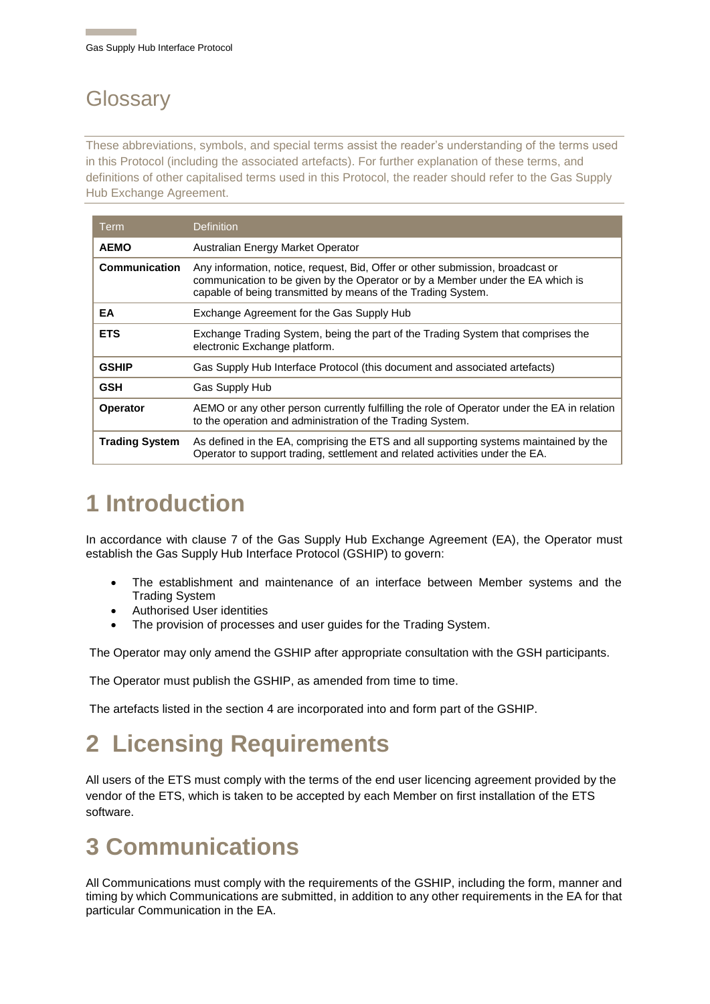### **Glossary**

These abbreviations, symbols, and special terms assist the reader's understanding of the terms used in this Protocol (including the associated artefacts). For further explanation of these terms, and definitions of other capitalised terms used in this Protocol, the reader should refer to the Gas Supply Hub Exchange Agreement.

| Term                  | <b>Definition</b>                                                                                                                                                                                                                |  |
|-----------------------|----------------------------------------------------------------------------------------------------------------------------------------------------------------------------------------------------------------------------------|--|
| <b>AEMO</b>           | Australian Energy Market Operator                                                                                                                                                                                                |  |
| <b>Communication</b>  | Any information, notice, request, Bid, Offer or other submission, broadcast or<br>communication to be given by the Operator or by a Member under the EA which is<br>capable of being transmitted by means of the Trading System. |  |
| EA                    | Exchange Agreement for the Gas Supply Hub                                                                                                                                                                                        |  |
| <b>ETS</b>            | Exchange Trading System, being the part of the Trading System that comprises the<br>electronic Exchange platform.                                                                                                                |  |
| <b>GSHIP</b>          | Gas Supply Hub Interface Protocol (this document and associated artefacts)                                                                                                                                                       |  |
| <b>GSH</b>            | Gas Supply Hub                                                                                                                                                                                                                   |  |
| <b>Operator</b>       | AEMO or any other person currently fulfilling the role of Operator under the EA in relation<br>to the operation and administration of the Trading System.                                                                        |  |
| <b>Trading System</b> | As defined in the EA, comprising the ETS and all supporting systems maintained by the<br>Operator to support trading, settlement and related activities under the EA.                                                            |  |

## **1 Introduction**

In accordance with clause 7 of the Gas Supply Hub Exchange Agreement (EA), the Operator must establish the Gas Supply Hub Interface Protocol (GSHIP) to govern:

- The establishment and maintenance of an interface between Member systems and the Trading System
- Authorised User identities
- The provision of processes and user guides for the Trading System.

The Operator may only amend the GSHIP after appropriate consultation with the GSH participants.

The Operator must publish the GSHIP, as amended from time to time.

The artefacts listed in the section 4 are incorporated into and form part of the GSHIP.

# **2 Licensing Requirements**

All users of the ETS must comply with the terms of the end user licencing agreement provided by the vendor of the ETS, which is taken to be accepted by each Member on first installation of the ETS software.

### **3 Communications**

All Communications must comply with the requirements of the GSHIP, including the form, manner and timing by which Communications are submitted, in addition to any other requirements in the EA for that particular Communication in the EA.